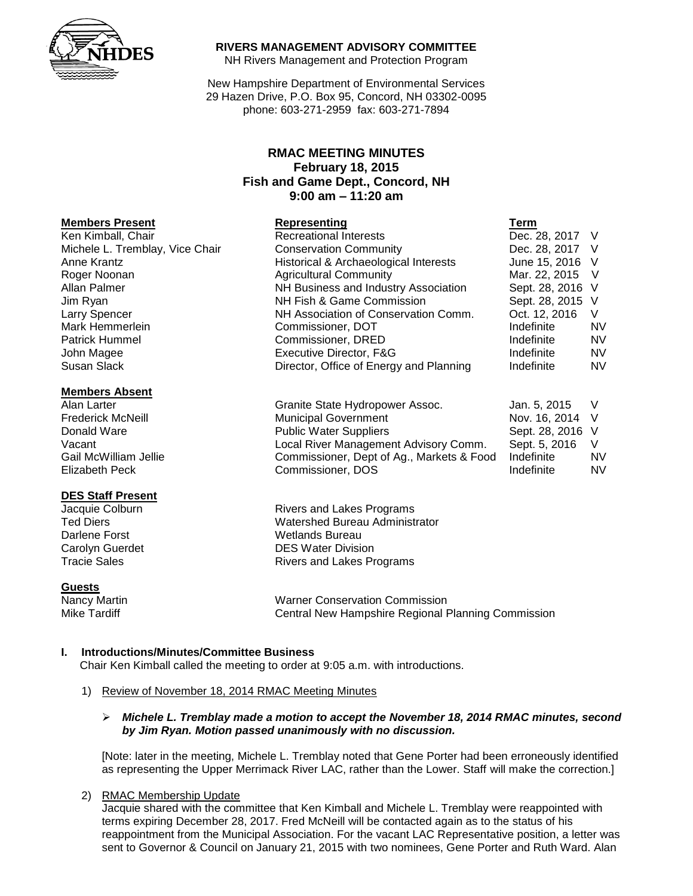

### **RIVERS MANAGEMENT ADVISORY COMMITTEE**

NH Rivers Management and Protection Program

New Hampshire Department of Environmental Services 29 Hazen Drive, P.O. Box 95, Concord, NH 03302-0095 phone: 603-271-2959 fax: 603-271-7894

# **RMAC MEETING MINUTES February 18, 2015 Fish and Game Dept., Concord, NH 9:00 am – 11:20 am**

| Representing                            | Term             |           |
|-----------------------------------------|------------------|-----------|
| <b>Recreational Interests</b>           | Dec. 28, 2017 V  |           |
| <b>Conservation Community</b>           | Dec. 28, 2017 V  |           |
| Historical & Archaeological Interests   | June 15, 2016 V  |           |
| <b>Agricultural Community</b>           | Mar. 22, 2015 V  |           |
| NH Business and Industry Association    | Sept. 28, 2016 V |           |
| NH Fish & Game Commission               | Sept. 28, 2015 V |           |
| NH Association of Conservation Comm.    | Oct. 12, 2016    | V         |
| Commissioner, DOT                       | Indefinite       | <b>NV</b> |
| Commissioner, DRED                      | Indefinite       | <b>NV</b> |
| Executive Director, F&G                 | Indefinite       | <b>NV</b> |
| Director, Office of Energy and Planning | Indefinite       | <b>NV</b> |
|                                         |                  |           |

| Alan Larter              | Granite State Hydropower Assoc.           | Jan. 5. 2015     |    |
|--------------------------|-------------------------------------------|------------------|----|
| <b>Frederick McNeill</b> | <b>Municipal Government</b>               | Nov. 16, 2014 V  |    |
| Donald Ware              | <b>Public Water Suppliers</b>             | Sept. 28, 2016 V |    |
| Vacant                   | Local River Management Advisory Comm.     | Sept. 5, 2016    |    |
| Gail McWilliam Jellie    | Commissioner, Dept of Ag., Markets & Food | Indefinite       | N٧ |
| Elizabeth Peck           | Commissioner, DOS                         | Indefinite       | N٧ |

Jacquie Colburn **Rivers and Lakes Programs**<br>Ted Diers **Rivers Collection Collection** Matershed Bureau Administ Watershed Bureau Administrator Carolyn Guerdet **DES Water Division** Tracie Sales **Rivers** and Lakes Programs

Nancy Martin Warner Conservation Commission Mike Tardiff Central New Hampshire Regional Planning Commission

# **I. Introductions/Minutes/Committee Business**

Chair Ken Kimball called the meeting to order at 9:05 a.m. with introductions.

1) Review of November 18, 2014 RMAC Meeting Minutes

#### *Michele L. Tremblay made a motion to accept the November 18, 2014 RMAC minutes, second by Jim Ryan. Motion passed unanimously with no discussion.*

[Note: later in the meeting, Michele L. Tremblay noted that Gene Porter had been erroneously identified as representing the Upper Merrimack River LAC, rather than the Lower. Staff will make the correction.]

### 2) RMAC Membership Update

Jacquie shared with the committee that Ken Kimball and Michele L. Tremblay were reappointed with terms expiring December 28, 2017. Fred McNeill will be contacted again as to the status of his reappointment from the Municipal Association. For the vacant LAC Representative position, a letter was sent to Governor & Council on January 21, 2015 with two nominees, Gene Porter and Ruth Ward. Alan

#### **Members Absent**

### **DES Staff Present**

Darlene Forst **Wetlands** Bureau

#### **Guests**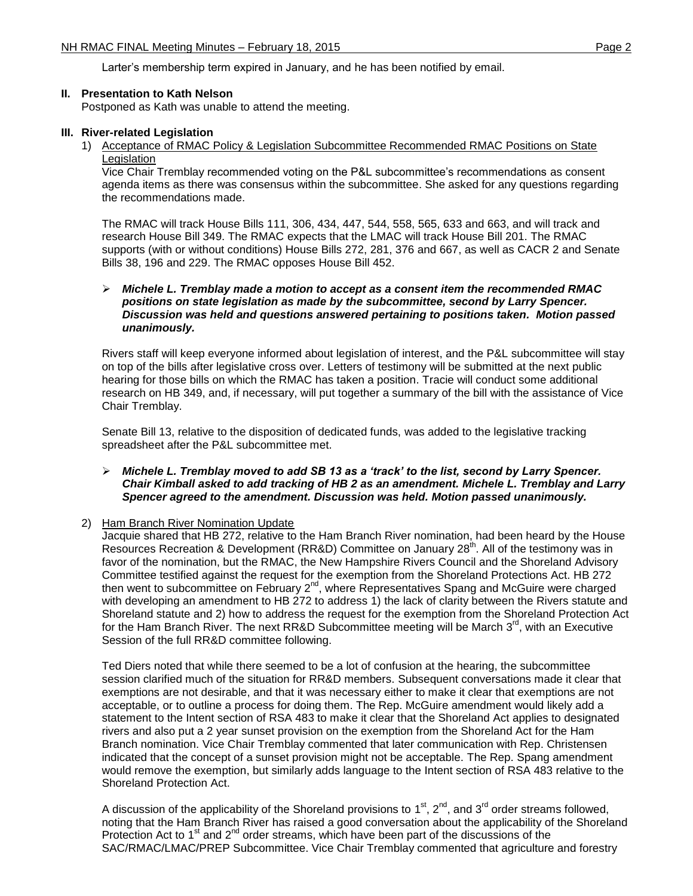Larter's membership term expired in January, and he has been notified by email.

## **II. Presentation to Kath Nelson**

Postponed as Kath was unable to attend the meeting.

## **III. River-related Legislation**

1) Acceptance of RMAC Policy & Legislation Subcommittee Recommended RMAC Positions on State Legislation

Vice Chair Tremblay recommended voting on the P&L subcommittee's recommendations as consent agenda items as there was consensus within the subcommittee. She asked for any questions regarding the recommendations made.

The RMAC will track House Bills 111, 306, 434, 447, 544, 558, 565, 633 and 663, and will track and research House Bill 349. The RMAC expects that the LMAC will track House Bill 201. The RMAC supports (with or without conditions) House Bills 272, 281, 376 and 667, as well as CACR 2 and Senate Bills 38, 196 and 229. The RMAC opposes House Bill 452.

## *Michele L. Tremblay made a motion to accept as a consent item the recommended RMAC positions on state legislation as made by the subcommittee, second by Larry Spencer. Discussion was held and questions answered pertaining to positions taken. Motion passed unanimously.*

Rivers staff will keep everyone informed about legislation of interest, and the P&L subcommittee will stay on top of the bills after legislative cross over. Letters of testimony will be submitted at the next public hearing for those bills on which the RMAC has taken a position. Tracie will conduct some additional research on HB 349, and, if necessary, will put together a summary of the bill with the assistance of Vice Chair Tremblay.

Senate Bill 13, relative to the disposition of dedicated funds, was added to the legislative tracking spreadsheet after the P&L subcommittee met.

## *Michele L. Tremblay moved to add SB 13 as a 'track' to the list, second by Larry Spencer. Chair Kimball asked to add tracking of HB 2 as an amendment. Michele L. Tremblay and Larry Spencer agreed to the amendment. Discussion was held. Motion passed unanimously.*

# 2) Ham Branch River Nomination Update

Jacquie shared that HB 272, relative to the Ham Branch River nomination, had been heard by the House Resources Recreation & Development (RR&D) Committee on January 28<sup>th</sup>. All of the testimony was in favor of the nomination, but the RMAC, the New Hampshire Rivers Council and the Shoreland Advisory Committee testified against the request for the exemption from the Shoreland Protections Act. HB 272 then went to subcommittee on February 2<sup>nd</sup>, where Representatives Spang and McGuire were charged with developing an amendment to HB 272 to address 1) the lack of clarity between the Rivers statute and Shoreland statute and 2) how to address the request for the exemption from the Shoreland Protection Act for the Ham Branch River. The next RR&D Subcommittee meeting will be March 3<sup>rd</sup>, with an Executive Session of the full RR&D committee following.

Ted Diers noted that while there seemed to be a lot of confusion at the hearing, the subcommittee session clarified much of the situation for RR&D members. Subsequent conversations made it clear that exemptions are not desirable, and that it was necessary either to make it clear that exemptions are not acceptable, or to outline a process for doing them. The Rep. McGuire amendment would likely add a statement to the Intent section of RSA 483 to make it clear that the Shoreland Act applies to designated rivers and also put a 2 year sunset provision on the exemption from the Shoreland Act for the Ham Branch nomination. Vice Chair Tremblay commented that later communication with Rep. Christensen indicated that the concept of a sunset provision might not be acceptable. The Rep. Spang amendment would remove the exemption, but similarly adds language to the Intent section of RSA 483 relative to the Shoreland Protection Act.

A discussion of the applicability of the Shoreland provisions to 1<sup>st</sup>, 2<sup>nd</sup>, and 3<sup>rd</sup> order streams followed, noting that the Ham Branch River has raised a good conversation about the applicability of the Shoreland Protection Act to 1<sup>st</sup> and 2<sup>nd</sup> order streams, which have been part of the discussions of the SAC/RMAC/LMAC/PREP Subcommittee. Vice Chair Tremblay commented that agriculture and forestry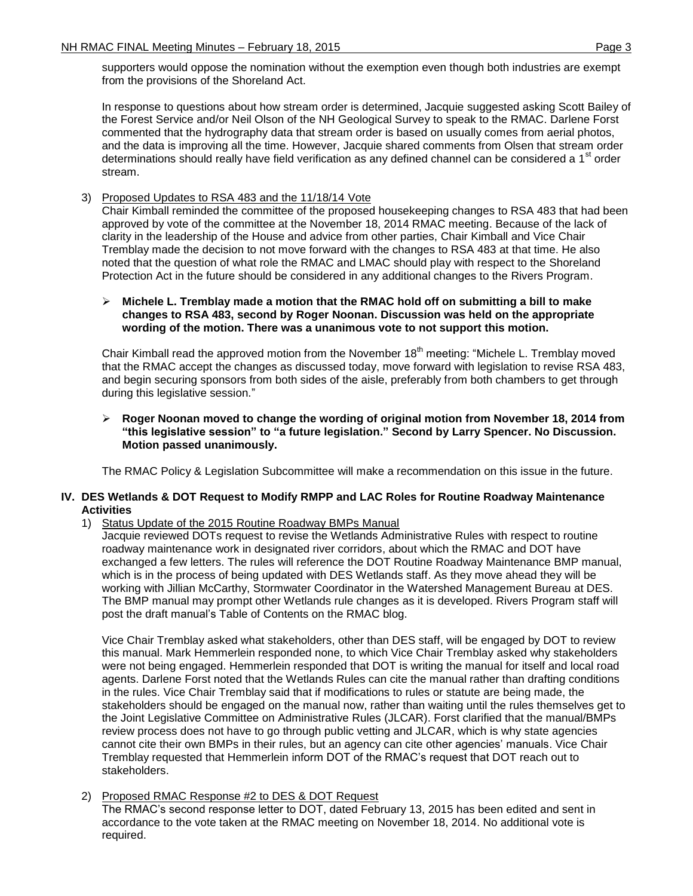supporters would oppose the nomination without the exemption even though both industries are exempt from the provisions of the Shoreland Act.

In response to questions about how stream order is determined, Jacquie suggested asking Scott Bailey of the Forest Service and/or Neil Olson of the NH Geological Survey to speak to the RMAC. Darlene Forst commented that the hydrography data that stream order is based on usually comes from aerial photos, and the data is improving all the time. However, Jacquie shared comments from Olsen that stream order determinations should really have field verification as any defined channel can be considered a 1<sup>st</sup> order stream.

# 3) Proposed Updates to RSA 483 and the 11/18/14 Vote

Chair Kimball reminded the committee of the proposed housekeeping changes to RSA 483 that had been approved by vote of the committee at the November 18, 2014 RMAC meeting. Because of the lack of clarity in the leadership of the House and advice from other parties, Chair Kimball and Vice Chair Tremblay made the decision to not move forward with the changes to RSA 483 at that time. He also noted that the question of what role the RMAC and LMAC should play with respect to the Shoreland Protection Act in the future should be considered in any additional changes to the Rivers Program.

## **Michele L. Tremblay made a motion that the RMAC hold off on submitting a bill to make changes to RSA 483, second by Roger Noonan. Discussion was held on the appropriate wording of the motion. There was a unanimous vote to not support this motion.**

Chair Kimball read the approved motion from the November  $18<sup>th</sup>$  meeting: "Michele L. Tremblay moved that the RMAC accept the changes as discussed today, move forward with legislation to revise RSA 483, and begin securing sponsors from both sides of the aisle, preferably from both chambers to get through during this legislative session."

## **Roger Noonan moved to change the wording of original motion from November 18, 2014 from "this legislative session" to "a future legislation." Second by Larry Spencer. No Discussion. Motion passed unanimously.**

The RMAC Policy & Legislation Subcommittee will make a recommendation on this issue in the future.

### **IV. DES Wetlands & DOT Request to Modify RMPP and LAC Roles for Routine Roadway Maintenance Activities**

1) Status Update of the 2015 Routine Roadway BMPs Manual

Jacquie reviewed DOTs request to revise the Wetlands Administrative Rules with respect to routine roadway maintenance work in designated river corridors, about which the RMAC and DOT have exchanged a few letters. The rules will reference the DOT Routine Roadway Maintenance BMP manual, which is in the process of being updated with DES Wetlands staff. As they move ahead they will be working with Jillian McCarthy, Stormwater Coordinator in the Watershed Management Bureau at DES. The BMP manual may prompt other Wetlands rule changes as it is developed. Rivers Program staff will post the draft manual's Table of Contents on the RMAC blog.

Vice Chair Tremblay asked what stakeholders, other than DES staff, will be engaged by DOT to review this manual. Mark Hemmerlein responded none, to which Vice Chair Tremblay asked why stakeholders were not being engaged. Hemmerlein responded that DOT is writing the manual for itself and local road agents. Darlene Forst noted that the Wetlands Rules can cite the manual rather than drafting conditions in the rules. Vice Chair Tremblay said that if modifications to rules or statute are being made, the stakeholders should be engaged on the manual now, rather than waiting until the rules themselves get to the Joint Legislative Committee on Administrative Rules (JLCAR). Forst clarified that the manual/BMPs review process does not have to go through public vetting and JLCAR, which is why state agencies cannot cite their own BMPs in their rules, but an agency can cite other agencies' manuals. Vice Chair Tremblay requested that Hemmerlein inform DOT of the RMAC's request that DOT reach out to stakeholders.

### 2) Proposed RMAC Response #2 to DES & DOT Request

The RMAC's second response letter to DOT, dated February 13, 2015 has been edited and sent in accordance to the vote taken at the RMAC meeting on November 18, 2014. No additional vote is required.